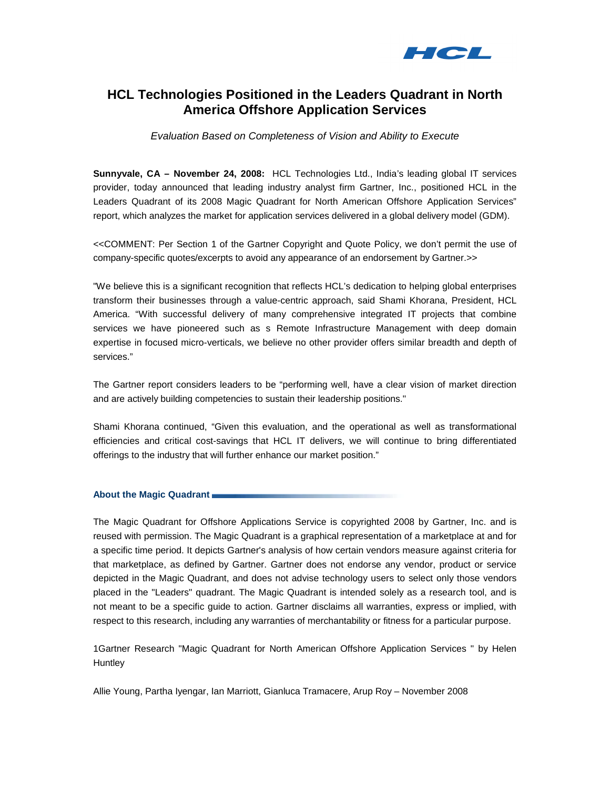

# **HCL Technologies Positioned in the Leaders Quadrant in North America Offshore Application Services**

Evaluation Based on Completeness of Vision and Ability to Execute

**Sunnyvale, CA – November 24, 2008:** HCL Technologies Ltd., India's leading global IT services provider, today announced that leading industry analyst firm Gartner, Inc., positioned HCL in the Leaders Quadrant of its 2008 Magic Quadrant for North American Offshore Application Services" report, which analyzes the market for application services delivered in a global delivery model (GDM).

<<COMMENT: Per Section 1 of the Gartner Copyright and Quote Policy, we don't permit the use of company-specific quotes/excerpts to avoid any appearance of an endorsement by Gartner.>>

"We believe this is a significant recognition that reflects HCL's dedication to helping global enterprises transform their businesses through a value-centric approach, said Shami Khorana, President, HCL America. "With successful delivery of many comprehensive integrated IT projects that combine services we have pioneered such as s Remote Infrastructure Management with deep domain expertise in focused micro-verticals, we believe no other provider offers similar breadth and depth of services."

The Gartner report considers leaders to be "performing well, have a clear vision of market direction and are actively building competencies to sustain their leadership positions."

Shami Khorana continued, "Given this evaluation, and the operational as well as transformational efficiencies and critical cost-savings that HCL IT delivers, we will continue to bring differentiated offerings to the industry that will further enhance our market position."

# **About the Magic Quadrant**

The Magic Quadrant for Offshore Applications Service is copyrighted 2008 by Gartner, Inc. and is reused with permission. The Magic Quadrant is a graphical representation of a marketplace at and for a specific time period. It depicts Gartner's analysis of how certain vendors measure against criteria for that marketplace, as defined by Gartner. Gartner does not endorse any vendor, product or service depicted in the Magic Quadrant, and does not advise technology users to select only those vendors placed in the "Leaders" quadrant. The Magic Quadrant is intended solely as a research tool, and is not meant to be a specific guide to action. Gartner disclaims all warranties, express or implied, with respect to this research, including any warranties of merchantability or fitness for a particular purpose.

1Gartner Research "Magic Quadrant for North American Offshore Application Services " by Helen **Huntley** 

Allie Young, Partha Iyengar, Ian Marriott, Gianluca Tramacere, Arup Roy – November 2008